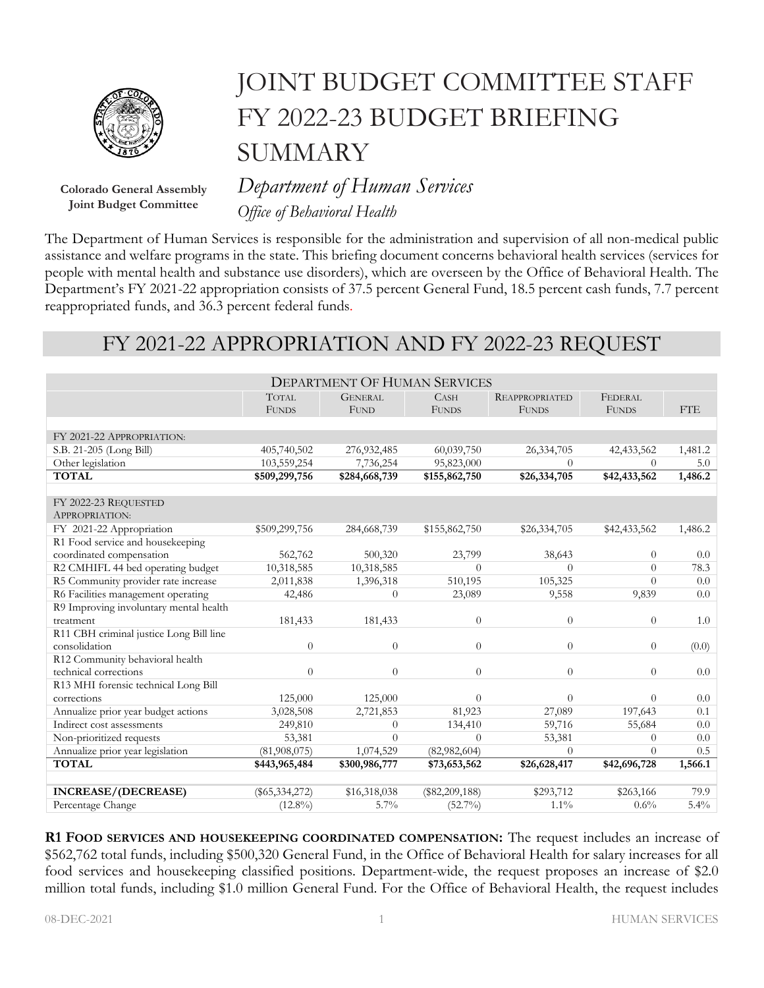

**Colorado General Assembly Joint Budget Committee**

# JOINT BUDGET COMMITTEE STAFF FY 2022-23 BUDGET BRIEFING **SUMMARY**

*Department of Human Services Office of Behavioral Health*

The Department of Human Services is responsible for the administration and supervision of all non-medical public assistance and welfare programs in the state. This briefing document concerns behavioral health services (services for people with mental health and substance use disorders), which are overseen by the Office of Behavioral Health. The Department's FY 2021-22 appropriation consists of 37.5 percent General Fund, 18.5 percent cash funds, 7.7 percent reappropriated funds, and 36.3 percent federal funds.

## FY 2021-22 APPROPRIATION AND FY 2022-23 REQUEST

| <b>DEPARTMENT OF HUMAN SERVICES</b>     |                  |                |                  |                       |                |            |  |  |  |
|-----------------------------------------|------------------|----------------|------------------|-----------------------|----------------|------------|--|--|--|
|                                         | <b>TOTAL</b>     | <b>GENERAL</b> | <b>CASH</b>      | <b>REAPPROPRIATED</b> | <b>FEDERAL</b> |            |  |  |  |
|                                         | <b>FUNDS</b>     | <b>FUND</b>    | <b>FUNDS</b>     | <b>FUNDS</b>          | <b>FUNDS</b>   | <b>FTE</b> |  |  |  |
|                                         |                  |                |                  |                       |                |            |  |  |  |
| FY 2021-22 APPROPRIATION:               |                  |                |                  |                       |                |            |  |  |  |
| S.B. 21-205 (Long Bill)                 | 405,740,502      | 276,932,485    | 60,039,750       | 26,334,705            | 42, 433, 562   | 1,481.2    |  |  |  |
| Other legislation                       | 103,559,254      | 7,736,254      | 95,823,000       | $\Omega$              | $\Omega$       | 5.0        |  |  |  |
| <b>TOTAL</b>                            | \$509,299,756    | \$284,668,739  | \$155,862,750    | \$26,334,705          | \$42,433,562   | 1,486.2    |  |  |  |
|                                         |                  |                |                  |                       |                |            |  |  |  |
| FY 2022-23 REQUESTED                    |                  |                |                  |                       |                |            |  |  |  |
| APPROPRIATION:                          |                  |                |                  |                       |                |            |  |  |  |
| FY 2021-22 Appropriation                | \$509,299,756    | 284,668,739    | \$155,862,750    | \$26,334,705          | \$42,433,562   | 1,486.2    |  |  |  |
| R1 Food service and housekeeping        |                  |                |                  |                       |                |            |  |  |  |
| coordinated compensation                | 562,762          | 500,320        | 23,799           | 38,643                | $\Omega$       | 0.0        |  |  |  |
| R2 CMHIFL 44 bed operating budget       | 10,318,585       | 10,318,585     | $\Omega$         | $\Omega$              | $\Omega$       | 78.3       |  |  |  |
| R5 Community provider rate increase     | 2,011,838        | 1,396,318      | 510,195          | 105,325               | $\Omega$       | 0.0        |  |  |  |
| R6 Facilities management operating      | 42,486           | $\Omega$       | 23,089           | 9,558                 | 9,839          | 0.0        |  |  |  |
| R9 Improving involuntary mental health  |                  |                |                  |                       |                |            |  |  |  |
| treatment                               | 181,433          | 181,433        | $\boldsymbol{0}$ | $\theta$              | $\theta$       | 1.0        |  |  |  |
| R11 CBH criminal justice Long Bill line |                  |                |                  |                       |                |            |  |  |  |
| consolidation                           | $\theta$         | $\Omega$       | $\overline{0}$   | $\theta$              | $\theta$       | (0.0)      |  |  |  |
| R12 Community behavioral health         |                  |                |                  |                       |                |            |  |  |  |
| technical corrections                   | $\Omega$         | $\Omega$       | 0                | $\theta$              | $\Omega$       | 0.0        |  |  |  |
| R13 MHI forensic technical Long Bill    |                  |                |                  |                       |                |            |  |  |  |
| corrections                             | 125,000          | 125,000        | $\overline{0}$   | $\theta$              | $\theta$       | 0.0        |  |  |  |
| Annualize prior year budget actions     | 3,028,508        | 2,721,853      | 81,923           | 27,089                | 197,643        | 0.1        |  |  |  |
| Indirect cost assessments               | 249,810          | $\Omega$       | 134,410          | 59,716                | 55,684         | 0.0        |  |  |  |
| Non-prioritized requests                | 53,381           | $\Omega$       | $\overline{0}$   | 53,381                | $\Omega$       | 0.0        |  |  |  |
| Annualize prior year legislation        | (81,908,075)     | 1,074,529      | (82,982,604)     | $\theta$              | $\Omega$       | 0.5        |  |  |  |
| <b>TOTAL</b>                            | \$443,965,484    | \$300,986,777  | \$73,653,562     | \$26,628,417          | \$42,696,728   | 1,566.1    |  |  |  |
|                                         |                  |                |                  |                       |                |            |  |  |  |
| <b>INCREASE/(DECREASE)</b>              | $(\$65,334,272)$ | \$16,318,038   | $(\$82,209,188)$ | \$293,712             | \$263,166      | 79.9       |  |  |  |
| Percentage Change                       | $(12.8\%)$       | $5.7\%$        | $(52.7\%)$       | $1.1\%$               | 0.6%           | $5.4\%$    |  |  |  |

**R1 FOOD SERVICES AND HOUSEKEEPING COORDINATED COMPENSATION:** The request includes an increase of \$562,762 total funds, including \$500,320 General Fund, in the Office of Behavioral Health for salary increases for all food services and housekeeping classified positions. Department-wide, the request proposes an increase of \$2.0 million total funds, including \$1.0 million General Fund. For the Office of Behavioral Health, the request includes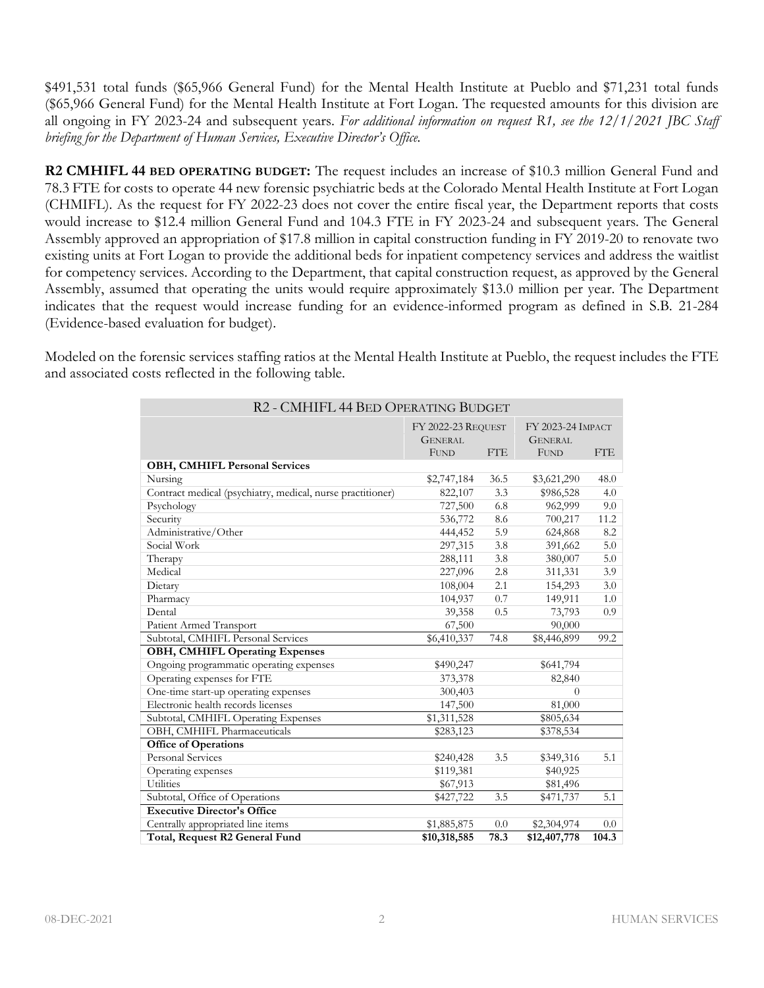\$491,531 total funds (\$65,966 General Fund) for the Mental Health Institute at Pueblo and \$71,231 total funds (\$65,966 General Fund) for the Mental Health Institute at Fort Logan. The requested amounts for this division are all ongoing in FY 2023-24 and subsequent years. *For additional information on request R1, see the 12/1/2021 JBC Staff briefing for the Department of Human Services, Executive Director's Office.*

**R2 CMHIFL 44 BED OPERATING BUDGET:** The request includes an increase of \$10.3 million General Fund and 78.3 FTE for costs to operate 44 new forensic psychiatric beds at the Colorado Mental Health Institute at Fort Logan (CHMIFL). As the request for FY 2022-23 does not cover the entire fiscal year, the Department reports that costs would increase to \$12.4 million General Fund and 104.3 FTE in FY 2023-24 and subsequent years. The General Assembly approved an appropriation of \$17.8 million in capital construction funding in FY 2019-20 to renovate two existing units at Fort Logan to provide the additional beds for inpatient competency services and address the waitlist for competency services. According to the Department, that capital construction request, as approved by the General Assembly, assumed that operating the units would require approximately \$13.0 million per year. The Department indicates that the request would increase funding for an evidence-informed program as defined in S.B. 21-284 (Evidence-based evaluation for budget).

Modeled on the forensic services staffing ratios at the Mental Health Institute at Pueblo, the request includes the FTE and associated costs reflected in the following table.

| R2 - CMHIFL 44 BED OPERATING BUDGET                        |                                         |            |              |            |  |  |  |  |
|------------------------------------------------------------|-----------------------------------------|------------|--------------|------------|--|--|--|--|
|                                                            | FY 2022-23 REQUEST<br>FY 2023-24 IMPACT |            |              |            |  |  |  |  |
|                                                            | <b>GENERAL</b>                          |            |              |            |  |  |  |  |
|                                                            | <b>FUND</b>                             | <b>FTE</b> | <b>FUND</b>  | <b>FTE</b> |  |  |  |  |
| <b>OBH, CMHIFL Personal Services</b>                       |                                         |            |              |            |  |  |  |  |
| Nursing                                                    | \$2,747,184                             | 36.5       | \$3,621,290  | 48.0       |  |  |  |  |
| Contract medical (psychiatry, medical, nurse practitioner) | 822,107                                 | 3.3        | \$986,528    | 4.0        |  |  |  |  |
| Psychology                                                 | 727,500                                 | 6.8        | 962,999      | 9.0        |  |  |  |  |
| Security                                                   | 536,772                                 | 8.6        | 700,217      | 11.2       |  |  |  |  |
| Administrative/Other                                       | 444,452                                 | 5.9        | 624,868      | 8.2        |  |  |  |  |
| Social Work                                                | 297,315                                 | 3.8        | 391,662      | 5.0        |  |  |  |  |
| Therapy                                                    | 288,111                                 | 3.8        | 380,007      | 5.0        |  |  |  |  |
| Medical                                                    | 227,096                                 | 2.8        | 311,331      | 3.9        |  |  |  |  |
| Dietary                                                    | 108,004                                 | 2.1        | 154,293      | 3.0        |  |  |  |  |
| Pharmacy                                                   | 104,937                                 | 0.7        | 149,911      | 1.0        |  |  |  |  |
| Dental                                                     | 39,358                                  | 0.5        | 73,793       | 0.9        |  |  |  |  |
| Patient Armed Transport                                    | 67,500                                  |            | 90,000       |            |  |  |  |  |
| Subtotal, CMHIFL Personal Services                         | \$6,410,337                             | 74.8       | \$8,446,899  | 99.2       |  |  |  |  |
| <b>OBH, CMHIFL Operating Expenses</b>                      |                                         |            |              |            |  |  |  |  |
| Ongoing programmatic operating expenses                    | \$490,247                               |            | \$641,794    |            |  |  |  |  |
| Operating expenses for FTE                                 | 373,378                                 |            | 82,840       |            |  |  |  |  |
| One-time start-up operating expenses                       | 300,403                                 |            | $\Omega$     |            |  |  |  |  |
| Electronic health records licenses                         | 147,500                                 |            | 81,000       |            |  |  |  |  |
| Subtotal, CMHIFL Operating Expenses                        | \$1,311,528                             |            | \$805,634    |            |  |  |  |  |
| OBH, CMHIFL Pharmaceuticals                                | \$283,123                               |            | \$378,534    |            |  |  |  |  |
| Office of Operations                                       |                                         |            |              |            |  |  |  |  |
| Personal Services                                          | \$240,428                               | 3.5        | \$349,316    | 5.1        |  |  |  |  |
| Operating expenses                                         | \$119,381                               |            | \$40,925     |            |  |  |  |  |
| Utilities                                                  | \$67,913                                |            | \$81,496     |            |  |  |  |  |
| Subtotal, Office of Operations                             | \$427,722                               | 3.5        | \$471,737    | 5.1        |  |  |  |  |
| <b>Executive Director's Office</b>                         |                                         |            |              |            |  |  |  |  |
| Centrally appropriated line items                          | \$1,885,875                             | 0.0        | \$2,304,974  | 0.0        |  |  |  |  |
| Total, Request R2 General Fund                             | \$10,318,585                            | 78.3       | \$12,407,778 | 104.3      |  |  |  |  |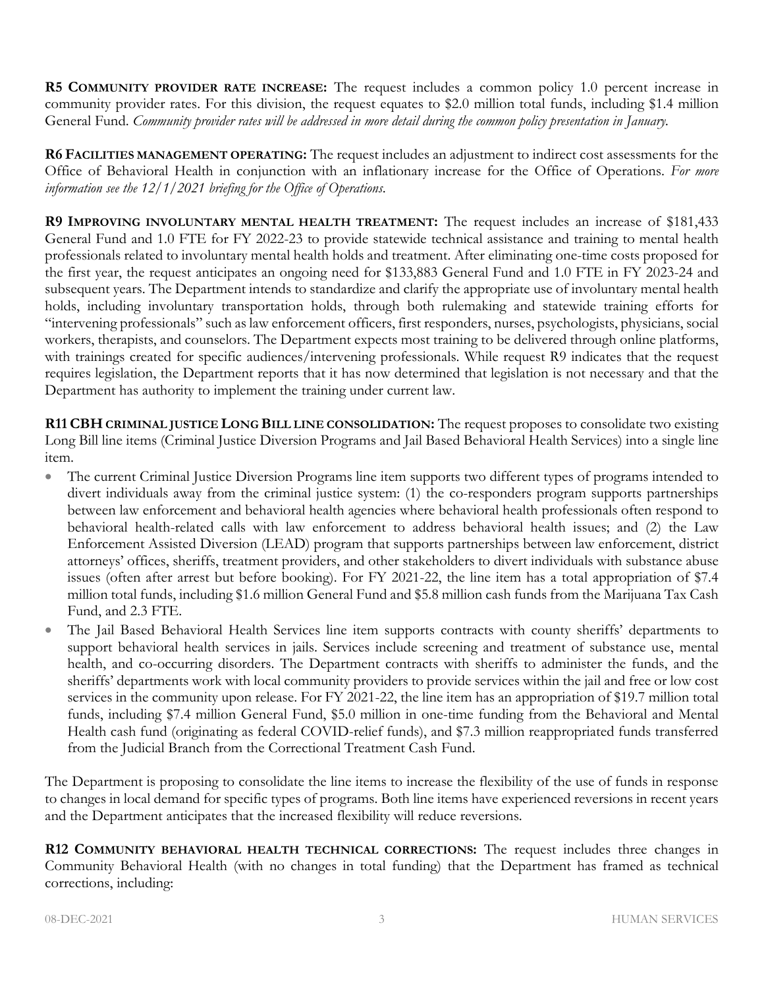**R5 COMMUNITY PROVIDER RATE INCREASE:** The request includes a common policy 1.0 percent increase in community provider rates. For this division, the request equates to \$2.0 million total funds, including \$1.4 million General Fund. *Community provider rates will be addressed in more detail during the common policy presentation in January.*

**R6 FACILITIES MANAGEMENT OPERATING:** The request includes an adjustment to indirect cost assessments for the Office of Behavioral Health in conjunction with an inflationary increase for the Office of Operations. *For more information see the 12/1/2021 briefing for the Office of Operations*.

**R9 IMPROVING INVOLUNTARY MENTAL HEALTH TREATMENT:** The request includes an increase of \$181,433 General Fund and 1.0 FTE for FY 2022-23 to provide statewide technical assistance and training to mental health professionals related to involuntary mental health holds and treatment. After eliminating one-time costs proposed for the first year, the request anticipates an ongoing need for \$133,883 General Fund and 1.0 FTE in FY 2023-24 and subsequent years. The Department intends to standardize and clarify the appropriate use of involuntary mental health holds, including involuntary transportation holds, through both rulemaking and statewide training efforts for "intervening professionals" such as law enforcement officers, first responders, nurses, psychologists, physicians, social workers, therapists, and counselors. The Department expects most training to be delivered through online platforms, with trainings created for specific audiences/intervening professionals. While request R9 indicates that the request requires legislation, the Department reports that it has now determined that legislation is not necessary and that the Department has authority to implement the training under current law.

**R11 CBH CRIMINAL JUSTICE LONG BILL LINE CONSOLIDATION:** The request proposes to consolidate two existing Long Bill line items (Criminal Justice Diversion Programs and Jail Based Behavioral Health Services) into a single line item.

- The current Criminal Justice Diversion Programs line item supports two different types of programs intended to divert individuals away from the criminal justice system: (1) the co-responders program supports partnerships between law enforcement and behavioral health agencies where behavioral health professionals often respond to behavioral health-related calls with law enforcement to address behavioral health issues; and (2) the Law Enforcement Assisted Diversion (LEAD) program that supports partnerships between law enforcement, district attorneys' offices, sheriffs, treatment providers, and other stakeholders to divert individuals with substance abuse issues (often after arrest but before booking). For FY 2021-22, the line item has a total appropriation of \$7.4 million total funds, including \$1.6 million General Fund and \$5.8 million cash funds from the Marijuana Tax Cash Fund, and 2.3 FTE.
- The Jail Based Behavioral Health Services line item supports contracts with county sheriffs' departments to support behavioral health services in jails. Services include screening and treatment of substance use, mental health, and co-occurring disorders. The Department contracts with sheriffs to administer the funds, and the sheriffs' departments work with local community providers to provide services within the jail and free or low cost services in the community upon release. For FY 2021-22, the line item has an appropriation of \$19.7 million total funds, including \$7.4 million General Fund, \$5.0 million in one-time funding from the Behavioral and Mental Health cash fund (originating as federal COVID-relief funds), and \$7.3 million reappropriated funds transferred from the Judicial Branch from the Correctional Treatment Cash Fund.

The Department is proposing to consolidate the line items to increase the flexibility of the use of funds in response to changes in local demand for specific types of programs. Both line items have experienced reversions in recent years and the Department anticipates that the increased flexibility will reduce reversions.

**R12 COMMUNITY BEHAVIORAL HEALTH TECHNICAL CORRECTIONS:** The request includes three changes in Community Behavioral Health (with no changes in total funding) that the Department has framed as technical corrections, including: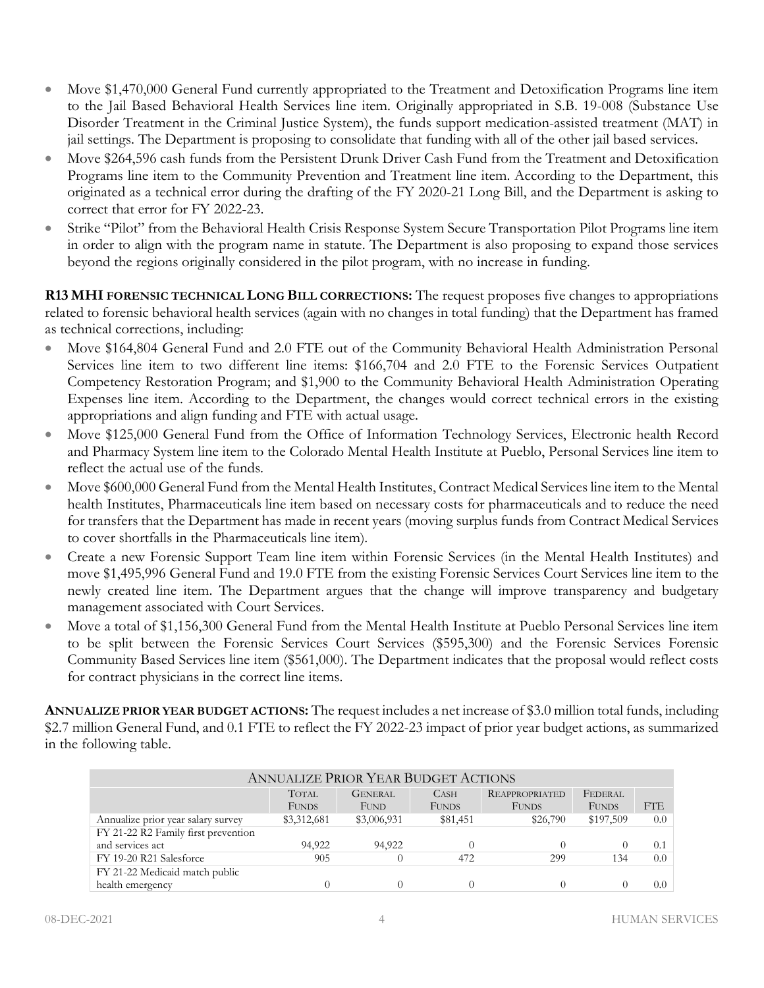- Move \$1,470,000 General Fund currently appropriated to the Treatment and Detoxification Programs line item to the Jail Based Behavioral Health Services line item. Originally appropriated in S.B. 19-008 (Substance Use Disorder Treatment in the Criminal Justice System), the funds support medication-assisted treatment (MAT) in jail settings. The Department is proposing to consolidate that funding with all of the other jail based services.
- Move \$264,596 cash funds from the Persistent Drunk Driver Cash Fund from the Treatment and Detoxification Programs line item to the Community Prevention and Treatment line item. According to the Department, this originated as a technical error during the drafting of the FY 2020-21 Long Bill, and the Department is asking to correct that error for FY 2022-23.
- Strike "Pilot" from the Behavioral Health Crisis Response System Secure Transportation Pilot Programs line item in order to align with the program name in statute. The Department is also proposing to expand those services beyond the regions originally considered in the pilot program, with no increase in funding.

**R13 MHI FORENSIC TECHNICAL LONG BILL CORRECTIONS:** The request proposes five changes to appropriations related to forensic behavioral health services (again with no changes in total funding) that the Department has framed as technical corrections, including:

- Move \$164,804 General Fund and 2.0 FTE out of the Community Behavioral Health Administration Personal Services line item to two different line items: \$166,704 and 2.0 FTE to the Forensic Services Outpatient Competency Restoration Program; and \$1,900 to the Community Behavioral Health Administration Operating Expenses line item. According to the Department, the changes would correct technical errors in the existing appropriations and align funding and FTE with actual usage.
- Move \$125,000 General Fund from the Office of Information Technology Services, Electronic health Record and Pharmacy System line item to the Colorado Mental Health Institute at Pueblo, Personal Services line item to reflect the actual use of the funds.
- Move \$600,000 General Fund from the Mental Health Institutes, Contract Medical Services line item to the Mental health Institutes, Pharmaceuticals line item based on necessary costs for pharmaceuticals and to reduce the need for transfers that the Department has made in recent years (moving surplus funds from Contract Medical Services to cover shortfalls in the Pharmaceuticals line item).
- Create a new Forensic Support Team line item within Forensic Services (in the Mental Health Institutes) and move \$1,495,996 General Fund and 19.0 FTE from the existing Forensic Services Court Services line item to the newly created line item. The Department argues that the change will improve transparency and budgetary management associated with Court Services.
- Move a total of \$1,156,300 General Fund from the Mental Health Institute at Pueblo Personal Services line item to be split between the Forensic Services Court Services (\$595,300) and the Forensic Services Forensic Community Based Services line item (\$561,000). The Department indicates that the proposal would reflect costs for contract physicians in the correct line items.

**ANNUALIZE PRIOR YEAR BUDGET ACTIONS:** The request includes a net increase of \$3.0 million total funds, including \$2.7 million General Fund, and 0.1 FTE to reflect the FY 2022-23 impact of prior year budget actions, as summarized in the following table.

| <b>ANNUALIZE PRIOR YEAR BUDGET ACTIONS</b> |              |                |              |                       |              |            |  |  |
|--------------------------------------------|--------------|----------------|--------------|-----------------------|--------------|------------|--|--|
|                                            | <b>TOTAL</b> | <b>GENERAL</b> | <b>CASH</b>  | <b>REAPPROPRIATED</b> | FEDERAL      |            |  |  |
|                                            | <b>FUNDS</b> | <b>FUND</b>    | <b>FUNDS</b> | <b>FUNDS</b>          | <b>FUNDS</b> | <b>FTE</b> |  |  |
| Annualize prior year salary survey         | \$3,312,681  | \$3,006,931    | \$81,451     | \$26,790              | \$197,509    | 0.0        |  |  |
| FY 21-22 R2 Family first prevention        |              |                |              |                       |              |            |  |  |
| and services act                           | 94,922       | 94,922         |              | $\Omega$              | $\Omega$     | 0.1        |  |  |
| FY 19-20 R21 Salesforce                    | 905          |                | 472          | 299                   | 134          | 0.0        |  |  |
| FY 21-22 Medicaid match public             |              |                |              |                       |              |            |  |  |
| health emergency                           |              |                |              | $\Omega$              | $\Omega$     | $0.0-1$    |  |  |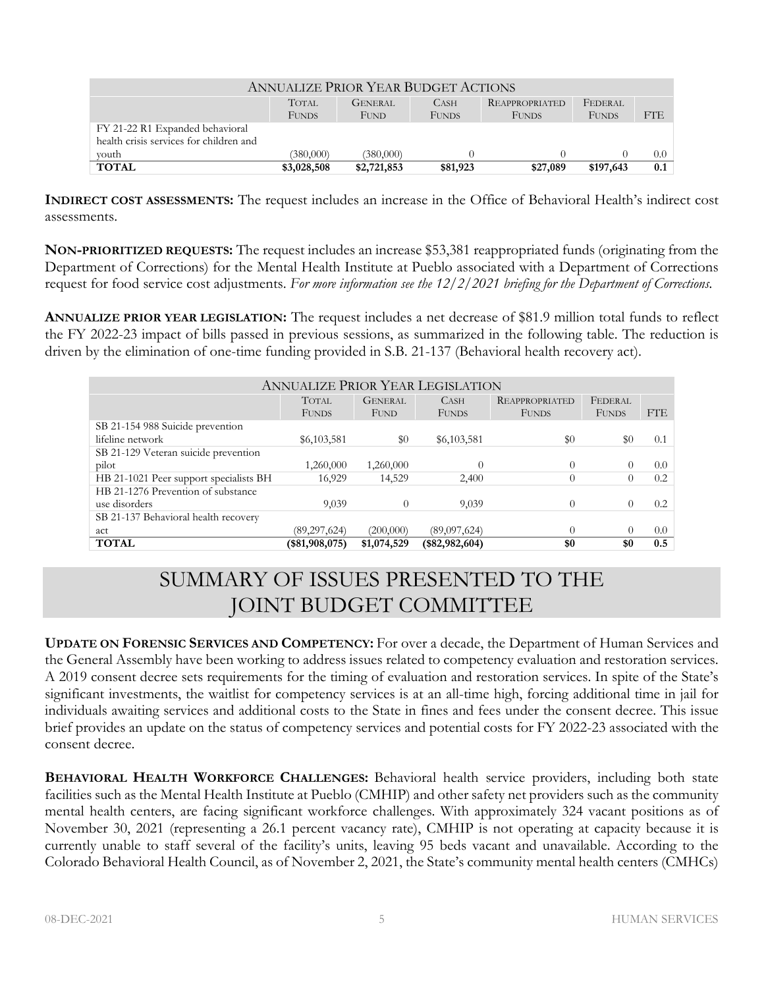| <b>ANNUALIZE PRIOR YEAR BUDGET ACTIONS</b> |              |                |              |                       |              |            |  |
|--------------------------------------------|--------------|----------------|--------------|-----------------------|--------------|------------|--|
|                                            | <b>TOTAL</b> | <b>GENERAL</b> | <b>CASH</b>  | <b>REAPPROPRIATED</b> | FEDERAL      |            |  |
|                                            | <b>FUNDS</b> | FUND           | <b>FUNDS</b> | <b>FUNDS</b>          | <b>FUNDS</b> | <b>FTE</b> |  |
| FY 21-22 R1 Expanded behavioral            |              |                |              |                       |              |            |  |
| health crisis services for children and    |              |                |              |                       |              |            |  |
| vouth                                      | (380,000)    | (380,000)      |              |                       |              | 0.0        |  |
| <b>TOTAL</b>                               | \$3,028,508  | \$2,721,853    | \$81,923     | \$27,089              | \$197,643    | 0.1        |  |

**INDIRECT COST ASSESSMENTS:** The request includes an increase in the Office of Behavioral Health's indirect cost assessments.

**NON-PRIORITIZED REQUESTS:** The request includes an increase \$53,381 reappropriated funds (originating from the Department of Corrections) for the Mental Health Institute at Pueblo associated with a Department of Corrections request for food service cost adjustments. *For more information see the 12/2/2021 briefing for the Department of Corrections.*

**ANNUALIZE PRIOR YEAR LEGISLATION:** The request includes a net decrease of \$81.9 million total funds to reflect the FY 2022-23 impact of bills passed in previous sessions, as summarized in the following table. The reduction is driven by the elimination of one-time funding provided in S.B. 21-137 (Behavioral health recovery act).

| ANNUALIZE PRIOR YEAR LEGISLATION       |                 |                |                 |                       |              |            |  |
|----------------------------------------|-----------------|----------------|-----------------|-----------------------|--------------|------------|--|
|                                        | <b>TOTAL</b>    | <b>GENERAL</b> | <b>CASH</b>     | <b>REAPPROPRIATED</b> | FEDERAL      |            |  |
|                                        | <b>FUNDS</b>    | <b>FUND</b>    | <b>FUNDS</b>    | <b>FUNDS</b>          | <b>FUNDS</b> | <b>FTE</b> |  |
| SB 21-154 988 Suicide prevention       |                 |                |                 |                       |              |            |  |
| lifeline network                       | \$6,103,581     | $\$0$          | \$6,103,581     | \$0                   | \$0          | 0.1        |  |
| SB 21-129 Veteran suicide prevention   |                 |                |                 |                       |              |            |  |
| pilot                                  | 1,260,000       | 1,260,000      | $\Omega$        | $\Omega$              |              | 0.0        |  |
| HB 21-1021 Peer support specialists BH | 16,929          | 14,529         | 2,400           | $\theta$              |              | 0.2        |  |
| HB 21-1276 Prevention of substance     |                 |                |                 |                       |              |            |  |
| use disorders                          | 9,039           | $\Omega$       | 9,039           | $\Omega$              |              | 0.2        |  |
| SB 21-137 Behavioral health recovery   |                 |                |                 |                       |              |            |  |
| act                                    | (89, 297, 624)  | (200,000)      | (89,097,624)    | $\Omega$              |              | 0.0        |  |
| <b>TOTAL</b>                           | $(*81,908,075)$ | \$1,074,529    | $(*82,982,604)$ | \$0                   | \$0          | 0.5        |  |

# SUMMARY OF ISSUES PRESENTED TO THE JOINT BUDGET COMMITTEE

**UPDATE ON FORENSIC SERVICES AND COMPETENCY:** For over a decade, the Department of Human Services and the General Assembly have been working to address issues related to competency evaluation and restoration services. A 2019 consent decree sets requirements for the timing of evaluation and restoration services. In spite of the State's significant investments, the waitlist for competency services is at an all-time high, forcing additional time in jail for individuals awaiting services and additional costs to the State in fines and fees under the consent decree. This issue brief provides an update on the status of competency services and potential costs for FY 2022-23 associated with the consent decree.

**BEHAVIORAL HEALTH WORKFORCE CHALLENGES:** Behavioral health service providers, including both state facilities such as the Mental Health Institute at Pueblo (CMHIP) and other safety net providers such as the community mental health centers, are facing significant workforce challenges. With approximately 324 vacant positions as of November 30, 2021 (representing a 26.1 percent vacancy rate), CMHIP is not operating at capacity because it is currently unable to staff several of the facility's units, leaving 95 beds vacant and unavailable. According to the Colorado Behavioral Health Council, as of November 2, 2021, the State's community mental health centers (CMHCs)